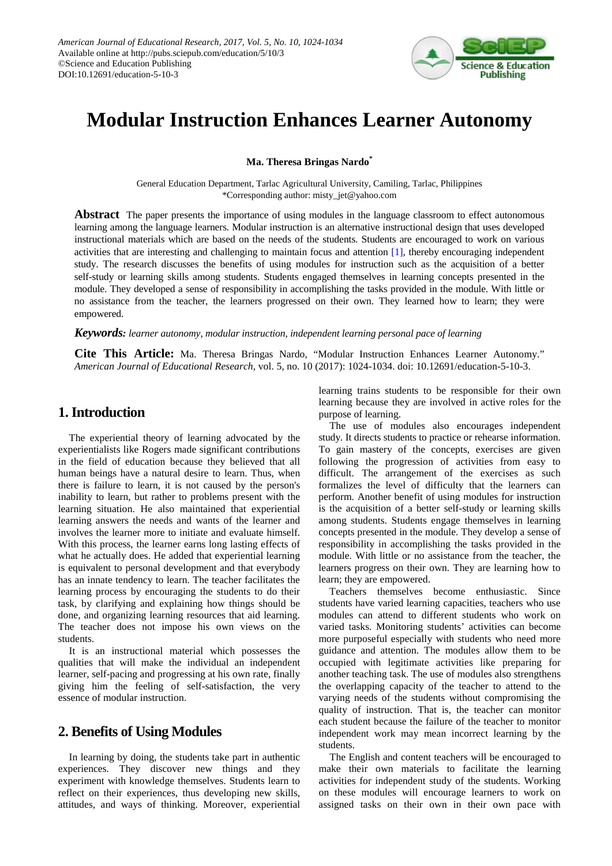

# **Modular Instruction Enhances Learner Autonomy**

**Ma. Theresa Bringas Nardo\***

General Education Department, Tarlac Agricultural University, Camiling, Tarlac, Philippines \*Corresponding author: misty\_jet@yahoo.com

**Abstract** The paper presents the importance of using modules in the language classroom to effect autonomous learning among the language learners. Modular instruction is an alternative instructional design that uses developed instructional materials which are based on the needs of the students. Students are encouraged to work on various activities that are interesting and challenging to maintain focus and attention [\[1\],](#page-9-0) thereby encouraging independent study. The research discusses the benefits of using modules for instruction such as the acquisition of a better self-study or learning skills among students. Students engaged themselves in learning concepts presented in the module. They developed a sense of responsibility in accomplishing the tasks provided in the module. With little or no assistance from the teacher, the learners progressed on their own. They learned how to learn; they were empowered.

### *Keywords: learner autonomy, modular instruction, independent learning personal pace of learning*

**Cite This Article:** Ma. Theresa Bringas Nardo, "Modular Instruction Enhances Learner Autonomy." *American Journal of Educational Research*, vol. 5, no. 10 (2017): 1024-1034. doi: 10.12691/education-5-10-3.

# **1.Introduction**

The experiential theory of learning advocated by the experientialists like Rogers made significant contributions in the field of education because they believed that all human beings have a natural desire to learn. Thus, when there is failure to learn, it is not caused by the person's inability to learn, but rather to problems present with the learning situation. He also maintained that experiential learning answers the needs and wants of the learner and involves the learner more to initiate and evaluate himself. With this process, the learner earns long lasting effects of what he actually does. He added that experiential learning is equivalent to personal development and that everybody has an innate tendency to learn. The teacher facilitates the learning process by encouraging the students to do their task, by clarifying and explaining how things should be done, and organizing learning resources that aid learning. The teacher does not impose his own views on the students.

It is an instructional material which possesses the qualities that will make the individual an independent learner, self-pacing and progressing at his own rate, finally giving him the feeling of self-satisfaction, the very essence of modular instruction.

# **2. Benefits of Using Modules**

In learning by doing, the students take part in authentic experiences. They discover new things and they experiment with knowledge themselves. Students learn to reflect on their experiences, thus developing new skills, attitudes, and ways of thinking. Moreover, experiential learning trains students to be responsible for their own learning because they are involved in active roles for the purpose of learning.

The use of modules also encourages independent study. It directs students to practice or rehearse information. To gain mastery of the concepts, exercises are given following the progression of activities from easy to difficult. The arrangement of the exercises as such formalizes the level of difficulty that the learners can perform. Another benefit of using modules for instruction is the acquisition of a better self-study or learning skills among students. Students engage themselves in learning concepts presented in the module. They develop a sense of responsibility in accomplishing the tasks provided in the module. With little or no assistance from the teacher, the learners progress on their own. They are learning how to learn; they are empowered.

Teachers themselves become enthusiastic. Since students have varied learning capacities, teachers who use modules can attend to different students who work on varied tasks. Monitoring students' activities can become more purposeful especially with students who need more guidance and attention. The modules allow them to be occupied with legitimate activities like preparing for another teaching task. The use of modules also strengthens the overlapping capacity of the teacher to attend to the varying needs of the students without compromising the quality of instruction. That is, the teacher can monitor each student because the failure of the teacher to monitor independent work may mean incorrect learning by the students.

The English and content teachers will be encouraged to make their own materials to facilitate the learning activities for independent study of the students. Working on these modules will encourage learners to work on assigned tasks on their own in their own pace with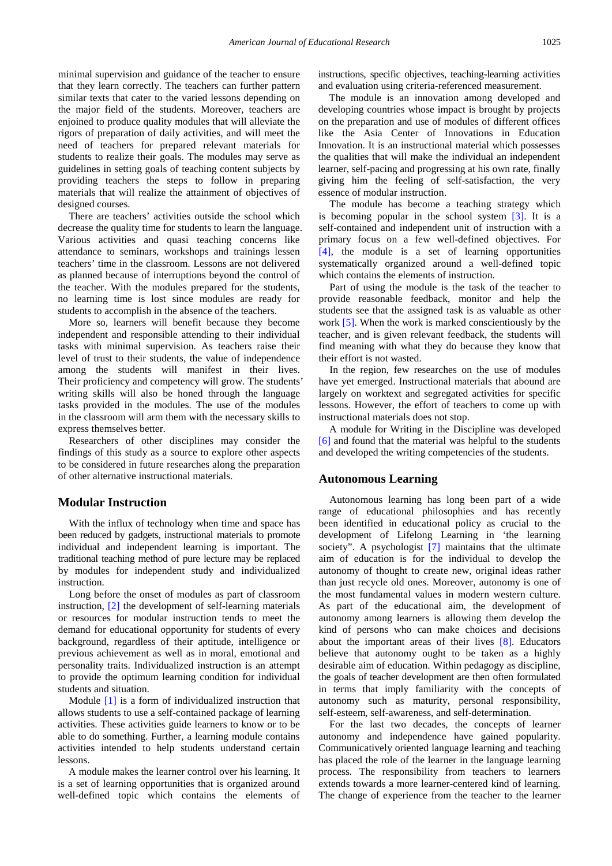minimal supervision and guidance of the teacher to ensure that they learn correctly. The teachers can further pattern similar texts that cater to the varied lessons depending on the major field of the students. Moreover, teachers are enjoined to produce quality modules that will alleviate the rigors of preparation of daily activities, and will meet the need of teachers for prepared relevant materials for students to realize their goals. The modules may serve as guidelines in setting goals of teaching content subjects by providing teachers the steps to follow in preparing materials that will realize the attainment of objectives of designed courses.

There are teachers' activities outside the school which decrease the quality time for students to learn the language. Various activities and quasi teaching concerns like attendance to seminars, workshops and trainings lessen teachers' time in the classroom. Lessons are not delivered as planned because of interruptions beyond the control of the teacher. With the modules prepared for the students, no learning time is lost since modules are ready for students to accomplish in the absence of the teachers.

More so, learners will benefit because they become independent and responsible attending to their individual tasks with minimal supervision. As teachers raise their level of trust to their students, the value of independence among the students will manifest in their lives. Their proficiency and competency will grow. The students' writing skills will also be honed through the language tasks provided in the modules. The use of the modules in the classroom will arm them with the necessary skills to express themselves better.

Researchers of other disciplines may consider the findings of this study as a source to explore other aspects to be considered in future researches along the preparation of other alternative instructional materials.

### **Modular Instruction**

With the influx of technology when time and space has been reduced by gadgets, instructional materials to promote individual and independent learning is important. The traditional teaching method of pure lecture may be replaced by modules for independent study and individualized instruction.

Long before the onset of modules as part of classroom instruction, [\[2\]](#page-9-1) the development of self-learning materials or resources for modular instruction tends to meet the demand for educational opportunity for students of every background, regardless of their aptitude, intelligence or previous achievement as well as in moral, emotional and personality traits. Individualized instruction is an attempt to provide the optimum learning condition for individual students and situation.

Module [\[1\]](#page-9-0) is a form of individualized instruction that allows students to use a self-contained package of learning activities. These activities guide learners to know or to be able to do something. Further, a learning module contains activities intended to help students understand certain lessons.

A module makes the learner control over his learning. It is a set of learning opportunities that is organized around well-defined topic which contains the elements of instructions, specific objectives, teaching-learning activities and evaluation using criteria-referenced measurement.

The module is an innovation among developed and developing countries whose impact is brought by projects on the preparation and use of modules of different offices like the Asia Center of Innovations in Education Innovation. It is an instructional material which possesses the qualities that will make the individual an independent learner, self-pacing and progressing at his own rate, finally giving him the feeling of self-satisfaction, the very essence of modular instruction.

The module has become a teaching strategy which is becoming popular in the school system [\[3\].](#page-9-2) It is a self-contained and independent unit of instruction with a primary focus on a few well-defined objectives. For [\[4\],](#page-9-3) the module is a set of learning opportunities systematically organized around a well-defined topic which contains the elements of instruction.

Part of using the module is the task of the teacher to provide reasonable feedback, monitor and help the students see that the assigned task is as valuable as other work [\[5\].](#page-9-4) When the work is marked conscientiously by the teacher, and is given relevant feedback, the students will find meaning with what they do because they know that their effort is not wasted.

In the region, few researches on the use of modules have yet emerged. Instructional materials that abound are largely on worktext and segregated activities for specific lessons. However, the effort of teachers to come up with instructional materials does not stop.

A module for Writing in the Discipline was developed [\[6\]](#page-9-5) and found that the material was helpful to the students and developed the writing competencies of the students.

#### **Autonomous Learning**

Autonomous learning has long been part of a wide range of educational philosophies and has recently been identified in educational policy as crucial to the development of Lifelong Learning in 'the learning society". A psychologist [\[7\]](#page-9-6) maintains that the ultimate aim of education is for the individual to develop the autonomy of thought to create new, original ideas rather than just recycle old ones. Moreover, autonomy is one of the most fundamental values in modern western culture. As part of the educational aim, the development of autonomy among learners is allowing them develop the kind of persons who can make choices and decisions about the important areas of their lives  $[8]$ . Educators believe that autonomy ought to be taken as a highly desirable aim of education. Within pedagogy as discipline, the goals of teacher development are then often formulated in terms that imply familiarity with the concepts of autonomy such as maturity, personal responsibility, self-esteem, self-awareness, and self-determination.

For the last two decades, the concepts of learner autonomy and independence have gained popularity. Communicatively oriented language learning and teaching has placed the role of the learner in the language learning process. The responsibility from teachers to learners extends towards a more learner-centered kind of learning. The change of experience from the teacher to the learner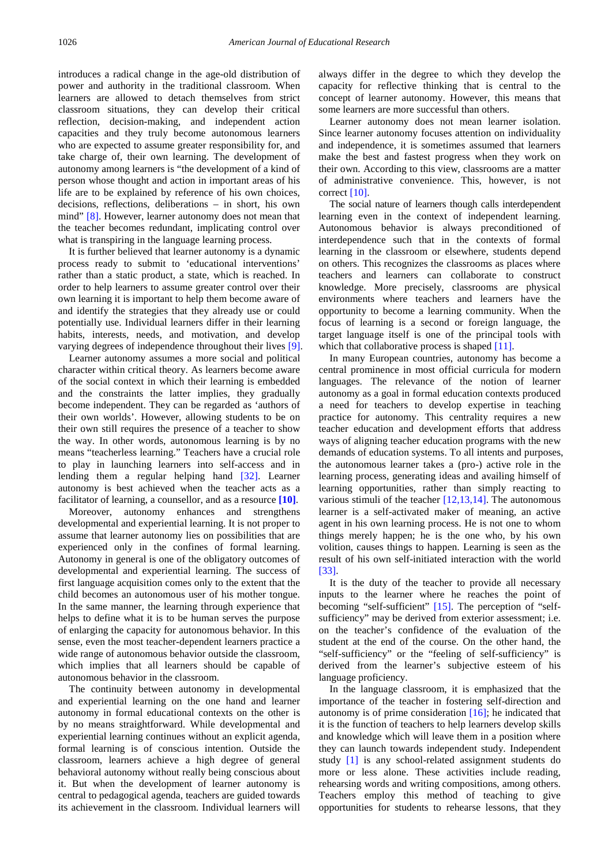introduces a radical change in the age-old distribution of power and authority in the traditional classroom. When learners are allowed to detach themselves from strict classroom situations, they can develop their critical reflection, decision-making, and independent action capacities and they truly become autonomous learners who are expected to assume greater responsibility for, and take charge of, their own learning. The development of autonomy among learners is "the development of a kind of person whose thought and action in important areas of his life are to be explained by reference of his own choices, decisions, reflections, deliberations – in short, his own mind" [\[8\].](#page-9-7) However, learner autonomy does not mean that the teacher becomes redundant, implicating control over what is transpiring in the language learning process.

It is further believed that learner autonomy is a dynamic process ready to submit to 'educational interventions' rather than a static product, a state, which is reached. In order to help learners to assume greater control over their own learning it is important to help them become aware of and identify the strategies that they already use or could potentially use. Individual learners differ in their learning habits, interests, needs, and motivation, and develop varying degrees of independence throughout their lives [\[9\].](#page-9-8)

Learner autonomy assumes a more social and political character within critical theory. As learners become aware of the social context in which their learning is embedded and the constraints the latter implies, they gradually become independent. They can be regarded as 'authors of their own worlds'. However, allowing students to be on their own still requires the presence of a teacher to show the way. In other words, autonomous learning is by no means "teacherless learning." Teachers have a crucial role to play in launching learners into self-access and in lending them a regular helping hand [\[32\].](#page-10-0) Learner autonomy is best achieved when the teacher acts as a facilitator of learning, a counsellor, and as a resource **[\[10\]](#page-9-9)**.

Moreover, autonomy enhances and strengthens developmental and experiential learning. It is not proper to assume that learner autonomy lies on possibilities that are experienced only in the confines of formal learning. Autonomy in general is one of the obligatory outcomes of developmental and experiential learning. The success of first language acquisition comes only to the extent that the child becomes an autonomous user of his mother tongue. In the same manner, the learning through experience that helps to define what it is to be human serves the purpose of enlarging the capacity for autonomous behavior. In this sense, even the most teacher-dependent learners practice a wide range of autonomous behavior outside the classroom, which implies that all learners should be capable of autonomous behavior in the classroom.

The continuity between autonomy in developmental and experiential learning on the one hand and learner autonomy in formal educational contexts on the other is by no means straightforward. While developmental and experiential learning continues without an explicit agenda, formal learning is of conscious intention. Outside the classroom, learners achieve a high degree of general behavioral autonomy without really being conscious about it. But when the development of learner autonomy is central to pedagogical agenda, teachers are guided towards its achievement in the classroom. Individual learners will

always differ in the degree to which they develop the capacity for reflective thinking that is central to the concept of learner autonomy. However, this means that some learners are more successful than others.

Learner autonomy does not mean learner isolation. Since learner autonomy focuses attention on individuality and independence, it is sometimes assumed that learners make the best and fastest progress when they work on their own. According to this view, classrooms are a matter of administrative convenience. This, however, is not correct [\[10\].](#page-9-9)

The social nature of learners though calls interdependent learning even in the context of independent learning. Autonomous behavior is always preconditioned of interdependence such that in the contexts of formal learning in the classroom or elsewhere, students depend on others. This recognizes the classrooms as places where teachers and learners can collaborate to construct knowledge. More precisely, classrooms are physical environments where teachers and learners have the opportunity to become a learning community. When the focus of learning is a second or foreign language, the target language itself is one of the principal tools with which that collaborative process is shaped [\[11\].](#page-9-10)

In many European countries, autonomy has become a central prominence in most official curricula for modern languages. The relevance of the notion of learner autonomy as a goal in formal education contexts produced a need for teachers to develop expertise in teaching practice for autonomy. This centrality requires a new teacher education and development efforts that address ways of aligning teacher education programs with the new demands of education systems. To all intents and purposes, the autonomous learner takes a (pro-) active role in the learning process, generating ideas and availing himself of learning opportunities, rather than simply reacting to various stimuli of the teacher  $[12,13,14]$ . The autonomous learner is a self-activated maker of meaning, an active agent in his own learning process. He is not one to whom things merely happen; he is the one who, by his own volition, causes things to happen. Learning is seen as the result of his own self-initiated interaction with the world [\[33\].](#page-10-1)

It is the duty of the teacher to provide all necessary inputs to the learner where he reaches the point of becoming "self-sufficient" [\[15\].](#page-9-12) The perception of "selfsufficiency" may be derived from exterior assessment; i.e. on the teacher's confidence of the evaluation of the student at the end of the course. On the other hand, the "self-sufficiency" or the "feeling of self-sufficiency" is derived from the learner's subjective esteem of his language proficiency.

In the language classroom, it is emphasized that the importance of the teacher in fostering self-direction and autonomy is of prime consideration  $[16]$ ; he indicated that it is the function of teachers to help learners develop skills and knowledge which will leave them in a position where they can launch towards independent study. Independent study [\[1\]](#page-9-0) is any school-related assignment students do more or less alone. These activities include reading, rehearsing words and writing compositions, among others. Teachers employ this method of teaching to give opportunities for students to rehearse lessons, that they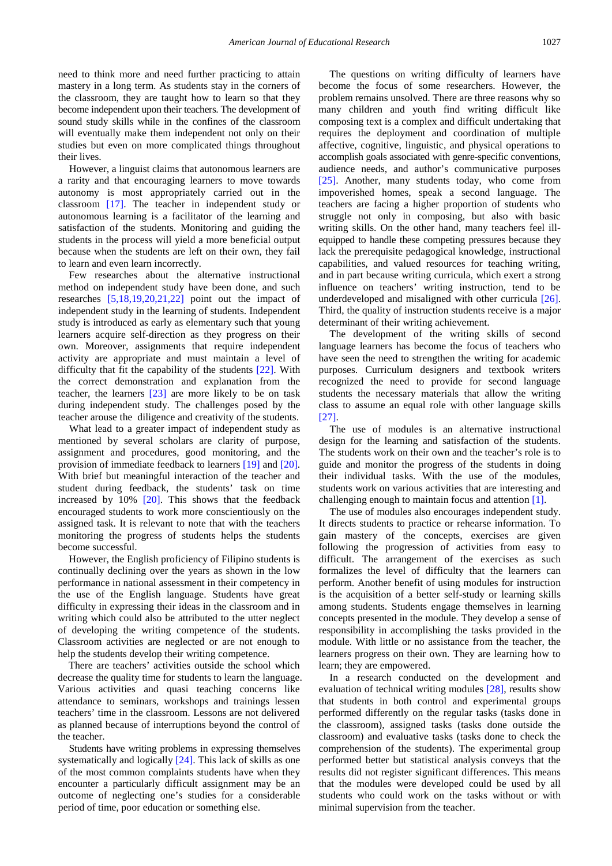need to think more and need further practicing to attain mastery in a long term. As students stay in the corners of the classroom, they are taught how to learn so that they become independent upon their teachers. The development of sound study skills while in the confines of the classroom will eventually make them independent not only on their studies but even on more complicated things throughout their lives.

However, a linguist claims that autonomous learners are a rarity and that encouraging learners to move towards autonomy is most appropriately carried out in the classroom [\[17\].](#page-9-14) The teacher in independent study or autonomous learning is a facilitator of the learning and satisfaction of the students. Monitoring and guiding the students in the process will yield a more beneficial output because when the students are left on their own, they fail to learn and even learn incorrectly.

Few researches about the alternative instructional method on independent study have been done, and such researches [\[5,18,19,20,21,22\]](#page-9-4) point out the impact of independent study in the learning of students. Independent study is introduced as early as elementary such that young learners acquire self-direction as they progress on their own. Moreover, assignments that require independent activity are appropriate and must maintain a level of difficulty that fit the capability of the students [\[22\].](#page-10-2) With the correct demonstration and explanation from the teacher, the learners [\[23\]](#page-10-3) are more likely to be on task during independent study. The challenges posed by the teacher arouse the diligence and creativity of the students.

What lead to a greater impact of independent study as mentioned by several scholars are clarity of purpose, assignment and procedures, good monitoring, and the provision of immediate feedback to learners [\[19\]](#page-9-15) and [\[20\].](#page-10-4) With brief but meaningful interaction of the teacher and student during feedback, the students' task on time increased by 10% [\[20\].](#page-10-4) This shows that the feedback encouraged students to work more conscientiously on the assigned task. It is relevant to note that with the teachers monitoring the progress of students helps the students become successful.

However, the English proficiency of Filipino students is continually declining over the years as shown in the low performance in national assessment in their competency in the use of the English language. Students have great difficulty in expressing their ideas in the classroom and in writing which could also be attributed to the utter neglect of developing the writing competence of the students. Classroom activities are neglected or are not enough to help the students develop their writing competence.

There are teachers' activities outside the school which decrease the quality time for students to learn the language. Various activities and quasi teaching concerns like attendance to seminars, workshops and trainings lessen teachers' time in the classroom. Lessons are not delivered as planned because of interruptions beyond the control of the teacher.

Students have writing problems in expressing themselves systematically and logically [\[24\].](#page-10-5) This lack of skills as one of the most common complaints students have when they encounter a particularly difficult assignment may be an outcome of neglecting one's studies for a considerable period of time, poor education or something else.

The questions on writing difficulty of learners have become the focus of some researchers. However, the problem remains unsolved. There are three reasons why so many children and youth find writing difficult like composing text is a complex and difficult undertaking that requires the deployment and coordination of multiple affective, cognitive, linguistic, and physical operations to accomplish goals associated with genre-specific conventions, audience needs, and author's communicative purposes [\[25\].](#page-10-6) Another, many students today, who come from impoverished homes, speak a second language. The teachers are facing a higher proportion of students who struggle not only in composing, but also with basic writing skills. On the other hand, many teachers feel illequipped to handle these competing pressures because they lack the prerequisite pedagogical knowledge, instructional capabilities, and valued resources for teaching writing, and in part because writing curricula, which exert a strong influence on teachers' writing instruction, tend to be underdeveloped and misaligned with other curricula [\[26\].](#page-10-7) Third, the quality of instruction students receive is a major determinant of their writing achievement.

The development of the writing skills of second language learners has become the focus of teachers who have seen the need to strengthen the writing for academic purposes. Curriculum designers and textbook writers recognized the need to provide for second language students the necessary materials that allow the writing class to assume an equal role with other language skills [\[27\].](#page-10-8)

The use of modules is an alternative instructional design for the learning and satisfaction of the students. The students work on their own and the teacher's role is to guide and monitor the progress of the students in doing their individual tasks. With the use of the modules, students work on various activities that are interesting and challenging enough to maintain focus and attention [\[1\].](#page-9-0)

The use of modules also encourages independent study. It directs students to practice or rehearse information. To gain mastery of the concepts, exercises are given following the progression of activities from easy to difficult. The arrangement of the exercises as such formalizes the level of difficulty that the learners can perform. Another benefit of using modules for instruction is the acquisition of a better self-study or learning skills among students. Students engage themselves in learning concepts presented in the module. They develop a sense of responsibility in accomplishing the tasks provided in the module. With little or no assistance from the teacher, the learners progress on their own. They are learning how to learn; they are empowered.

In a research conducted on the development and evaluation of technical writing modules [\[28\],](#page-10-9) results show that students in both control and experimental groups performed differently on the regular tasks (tasks done in the classroom), assigned tasks (tasks done outside the classroom) and evaluative tasks (tasks done to check the comprehension of the students). The experimental group performed better but statistical analysis conveys that the results did not register significant differences. This means that the modules were developed could be used by all students who could work on the tasks without or with minimal supervision from the teacher.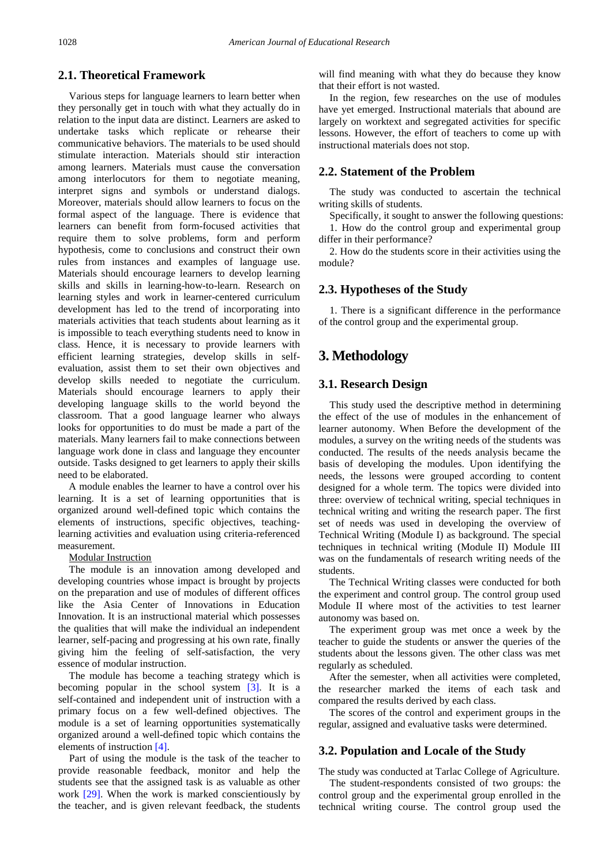## **2.1. Theoretical Framework**

Various steps for language learners to learn better when they personally get in touch with what they actually do in relation to the input data are distinct. Learners are asked to undertake tasks which replicate or rehearse their communicative behaviors. The materials to be used should stimulate interaction. Materials should stir interaction among learners. Materials must cause the conversation among interlocutors for them to negotiate meaning, interpret signs and symbols or understand dialogs. Moreover, materials should allow learners to focus on the formal aspect of the language. There is evidence that learners can benefit from form-focused activities that require them to solve problems, form and perform hypothesis, come to conclusions and construct their own rules from instances and examples of language use. Materials should encourage learners to develop learning skills and skills in learning-how-to-learn. Research on learning styles and work in learner-centered curriculum development has led to the trend of incorporating into materials activities that teach students about learning as it is impossible to teach everything students need to know in class. Hence, it is necessary to provide learners with efficient learning strategies, develop skills in selfevaluation, assist them to set their own objectives and develop skills needed to negotiate the curriculum. Materials should encourage learners to apply their developing language skills to the world beyond the classroom. That a good language learner who always looks for opportunities to do must be made a part of the materials. Many learners fail to make connections between language work done in class and language they encounter outside. Tasks designed to get learners to apply their skills need to be elaborated.

A module enables the learner to have a control over his learning. It is a set of learning opportunities that is organized around well-defined topic which contains the elements of instructions, specific objectives, teachinglearning activities and evaluation using criteria-referenced measurement.

#### Modular Instruction

The module is an innovation among developed and developing countries whose impact is brought by projects on the preparation and use of modules of different offices like the Asia Center of Innovations in Education Innovation. It is an instructional material which possesses the qualities that will make the individual an independent learner, self-pacing and progressing at his own rate, finally giving him the feeling of self-satisfaction, the very essence of modular instruction.

The module has become a teaching strategy which is becoming popular in the school system  $[3]$ . It is a self-contained and independent unit of instruction with a primary focus on a few well-defined objectives. The module is a set of learning opportunities systematically organized around a well-defined topic which contains the elements of instruction [\[4\].](#page-9-3)

Part of using the module is the task of the teacher to provide reasonable feedback, monitor and help the students see that the assigned task is as valuable as other work [\[29\].](#page-10-10) When the work is marked conscientiously by the teacher, and is given relevant feedback, the students will find meaning with what they do because they know that their effort is not wasted.

In the region, few researches on the use of modules have yet emerged. Instructional materials that abound are largely on worktext and segregated activities for specific lessons. However, the effort of teachers to come up with instructional materials does not stop.

### **2.2. Statement of the Problem**

The study was conducted to ascertain the technical writing skills of students.

Specifically, it sought to answer the following questions: 1. How do the control group and experimental group differ in their performance?

2. How do the students score in their activities using the module?

### **2.3. Hypotheses of the Study**

1. There is a significant difference in the performance of the control group and the experimental group.

# **3. Methodology**

## **3.1. Research Design**

This study used the descriptive method in determining the effect of the use of modules in the enhancement of learner autonomy. When Before the development of the modules, a survey on the writing needs of the students was conducted. The results of the needs analysis became the basis of developing the modules. Upon identifying the needs, the lessons were grouped according to content designed for a whole term. The topics were divided into three: overview of technical writing, special techniques in technical writing and writing the research paper. The first set of needs was used in developing the overview of Technical Writing (Module I) as background. The special techniques in technical writing (Module II) Module III was on the fundamentals of research writing needs of the students.

The Technical Writing classes were conducted for both the experiment and control group. The control group used Module II where most of the activities to test learner autonomy was based on.

The experiment group was met once a week by the teacher to guide the students or answer the queries of the students about the lessons given. The other class was met regularly as scheduled.

After the semester, when all activities were completed, the researcher marked the items of each task and compared the results derived by each class.

The scores of the control and experiment groups in the regular, assigned and evaluative tasks were determined.

## **3.2. Population and Locale of the Study**

The study was conducted at Tarlac College of Agriculture.

The student-respondents consisted of two groups: the control group and the experimental group enrolled in the technical writing course. The control group used the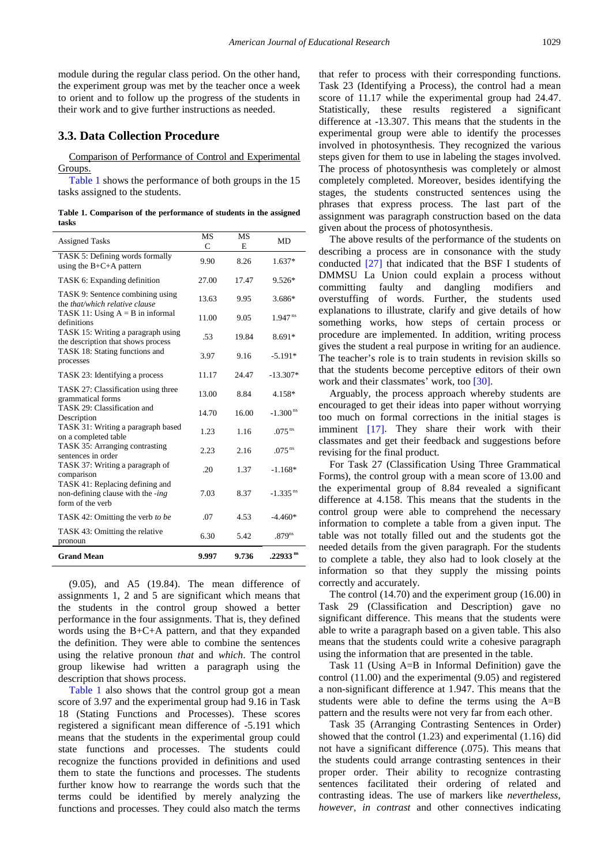module during the regular class period. On the other hand, the experiment group was met by the teacher once a week to orient and to follow up the progress of the students in their work and to give further instructions as needed.

### **3.3. Data Collection Procedure**

Comparison of Performance of Control and Experimental Groups.

[Table 1](#page-5-0) shows the performance of both groups in the 15 tasks assigned to the students.

**Table 1. Comparison of the performance of students in the assigned tasks**

<span id="page-5-0"></span>

| <b>Assigned Tasks</b>                                                                    | MS<br>C | MS<br>E | <b>MD</b>              |
|------------------------------------------------------------------------------------------|---------|---------|------------------------|
| TASK 5: Defining words formally<br>using the $B+C+A$ pattern                             | 9.90    | 8.26    | $1.637*$               |
| TASK 6: Expanding definition                                                             | 27.00   | 17.47   | $9.526*$               |
| TASK 9: Sentence combining using<br>the <i>that/which relative clause</i>                | 13.63   | 9.95    | 3.686*                 |
| TASK 11: Using $A = B$ in informal<br>definitions                                        | 11.00   | 9.05    | $1.947^{ns}$           |
| TASK 15: Writing a paragraph using<br>the description that shows process                 | .53     | 19.84   | 8.691*                 |
| TASK 18: Stating functions and<br>processes                                              | 3.97    | 9.16    | $-5.191*$              |
| TASK 23: Identifying a process                                                           | 11.17   | 24.47   | $-13.307*$             |
| TASK 27: Classification using three<br>grammatical forms                                 | 13.00   | 8.84    | 4.158*                 |
| TASK 29: Classification and<br>Description                                               | 14.70   | 16.00   | $-1.300$ <sup>ns</sup> |
| TASK 31: Writing a paragraph based<br>on a completed table                               | 1.23    | 1.16    | $.075$ <sup>ns</sup>   |
| TASK 35: Arranging contrasting<br>sentences in order                                     | 2.23    | 2.16    | .075 $^{\rm ns}$       |
| TASK 37: Writing a paragraph of<br>comparison                                            | .20     | 1.37    | $-1.168*$              |
| TASK 41: Replacing defining and<br>non-defining clause with the -ing<br>form of the verb | 7.03    | 8.37    | $-1.335$ <sup>ns</sup> |
| TASK 42: Omitting the verb to be                                                         | .07     | 4.53    | $-4.460*$              |
| TASK 43: Omitting the relative<br>pronoun                                                | 6.30    | 5.42    | .879 <sup>ns</sup>     |
| <b>Grand Mean</b>                                                                        | 9.997   | 9.736   | .22933 ns              |

(9.05), and A5 (19.84). The mean difference of assignments 1, 2 and 5 are significant which means that the students in the control group showed a better performance in the four assignments. That is, they defined words using the B+C+A pattern, and that they expanded the definition. They were able to combine the sentences using the relative pronoun *that* and *which*. The control group likewise had written a paragraph using the description that shows process.

[Table 1](#page-5-0) also shows that the control group got a mean score of 3.97 and the experimental group had 9.16 in Task 18 (Stating Functions and Processes). These scores registered a significant mean difference of -5.191 which means that the students in the experimental group could state functions and processes. The students could recognize the functions provided in definitions and used them to state the functions and processes. The students further know how to rearrange the words such that the terms could be identified by merely analyzing the functions and processes. They could also match the terms

that refer to process with their corresponding functions. Task 23 (Identifying a Process), the control had a mean score of 11.17 while the experimental group had 24.47. Statistically, these results registered a significant difference at -13.307. This means that the students in the experimental group were able to identify the processes involved in photosynthesis. They recognized the various steps given for them to use in labeling the stages involved. The process of photosynthesis was completely or almost completely completed. Moreover, besides identifying the stages, the students constructed sentences using the phrases that express process. The last part of the assignment was paragraph construction based on the data given about the process of photosynthesis.

The above results of the performance of the students on describing a process are in consonance with the study conducted [\[27\]](#page-10-8) that indicated that the BSF I students of DMMSU La Union could explain a process without committing faulty and dangling modifiers and overstuffing of words. Further, the students used explanations to illustrate, clarify and give details of how something works, how steps of certain process or procedure are implemented. In addition, writing process gives the student a real purpose in writing for an audience. The teacher's role is to train students in revision skills so that the students become perceptive editors of their own work and their classmates' work, too [\[30\].](#page-10-11)

Arguably, the process approach whereby students are encouraged to get their ideas into paper without worrying too much on formal corrections in the initial stages is imminent [\[17\].](#page-9-14) They share their work with their classmates and get their feedback and suggestions before revising for the final product.

For Task 27 (Classification Using Three Grammatical Forms), the control group with a mean score of 13.00 and the experimental group of 8.84 revealed a significant difference at 4.158. This means that the students in the control group were able to comprehend the necessary information to complete a table from a given input. The table was not totally filled out and the students got the needed details from the given paragraph. For the students to complete a table, they also had to look closely at the information so that they supply the missing points correctly and accurately.

The control (14.70) and the experiment group (16.00) in Task 29 (Classification and Description) gave no significant difference. This means that the students were able to write a paragraph based on a given table. This also means that the students could write a cohesive paragraph using the information that are presented in the table.

Task 11 (Using A=B in Informal Definition) gave the control (11.00) and the experimental (9.05) and registered a non-significant difference at 1.947. This means that the students were able to define the terms using the A=B pattern and the results were not very far from each other.

Task 35 (Arranging Contrasting Sentences in Order) showed that the control (1.23) and experimental (1.16) did not have a significant difference (.075). This means that the students could arrange contrasting sentences in their proper order. Their ability to recognize contrasting sentences facilitated their ordering of related and contrasting ideas. The use of markers like *nevertheless, however, in contrast* and other connectives indicating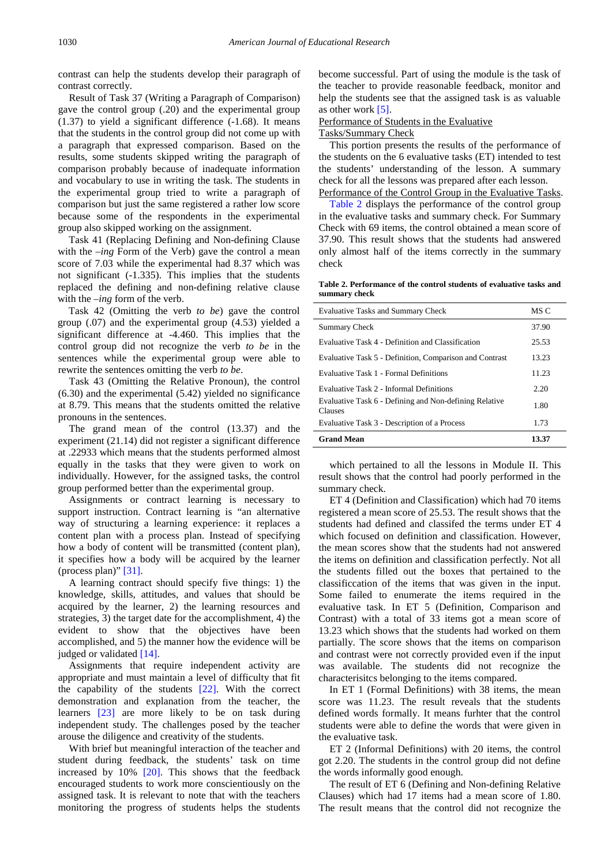contrast can help the students develop their paragraph of contrast correctly.

Result of Task 37 (Writing a Paragraph of Comparison) gave the control group (.20) and the experimental group  $(1.37)$  to yield a significant difference  $(-1.68)$ . It means that the students in the control group did not come up with a paragraph that expressed comparison. Based on the results, some students skipped writing the paragraph of comparison probably because of inadequate information and vocabulary to use in writing the task. The students in the experimental group tried to write a paragraph of comparison but just the same registered a rather low score because some of the respondents in the experimental group also skipped working on the assignment.

Task 41 (Replacing Defining and Non-defining Clause with the *–ing* Form of the Verb) gave the control a mean score of 7.03 while the experimental had 8.37 which was not significant (-1.335). This implies that the students replaced the defining and non-defining relative clause with the *–ing* form of the verb.

Task 42 (Omitting the verb *to be*) gave the control group (.07) and the experimental group (4.53) yielded a significant difference at -4.460. This implies that the control group did not recognize the verb *to be* in the sentences while the experimental group were able to rewrite the sentences omitting the verb *to be*.

Task 43 (Omitting the Relative Pronoun), the control (6.30) and the experimental (5.42) yielded no significance at 8.79. This means that the students omitted the relative pronouns in the sentences.

The grand mean of the control (13.37) and the experiment (21.14) did not register a significant difference at .22933 which means that the students performed almost equally in the tasks that they were given to work on individually. However, for the assigned tasks, the control group performed better than the experimental group.

Assignments or contract learning is necessary to support instruction. Contract learning is "an alternative way of structuring a learning experience: it replaces a content plan with a process plan. Instead of specifying how a body of content will be transmitted (content plan), it specifies how a body will be acquired by the learner (process plan)" [\[31\].](#page-10-12)

A learning contract should specify five things: 1) the knowledge, skills, attitudes, and values that should be acquired by the learner, 2) the learning resources and strategies, 3) the target date for the accomplishment, 4) the evident to show that the objectives have been accomplished, and 5) the manner how the evidence will be judged or validated [\[14\].](#page-9-16)

Assignments that require independent activity are appropriate and must maintain a level of difficulty that fit the capability of the students [\[22\].](#page-10-2) With the correct demonstration and explanation from the teacher, the learners [\[23\]](#page-10-3) are more likely to be on task during independent study. The challenges posed by the teacher arouse the diligence and creativity of the students.

With brief but meaningful interaction of the teacher and student during feedback, the students' task on time increased by  $10\%$  [\[20\].](#page-10-4) This shows that the feedback encouraged students to work more conscientiously on the assigned task. It is relevant to note that with the teachers monitoring the progress of students helps the students

become successful. Part of using the module is the task of the teacher to provide reasonable feedback, monitor and help the students see that the assigned task is as valuable as other work [\[5\].](#page-9-4)

# Performance of Students in the Evaluative

# Tasks/Summary Check

This portion presents the results of the performance of the students on the 6 evaluative tasks (ET) intended to test the students' understanding of the lesson. A summary check for all the lessons was prepared after each lesson. Performance of the Control Group in the Evaluative Tasks.

[Table 2](#page-6-0) displays the performance of the control group in the evaluative tasks and summary check. For Summary Check with 69 items, the control obtained a mean score of 37.90. This result shows that the students had answered only almost half of the items correctly in the summary check

**Table 2. Performance of the control students of evaluative tasks and summary check**

<span id="page-6-0"></span>

| <b>Evaluative Tasks and Summary Check</b>                         | MS C  |
|-------------------------------------------------------------------|-------|
| Summary Check                                                     | 37.90 |
| Evaluative Task 4 - Definition and Classification                 | 25.53 |
| Evaluative Task 5 - Definition, Comparison and Contrast           | 13.23 |
| Evaluative Task 1 - Formal Definitions                            | 11.23 |
| Evaluative Task 2 - Informal Definitions                          | 2.20  |
| Evaluative Task 6 - Defining and Non-defining Relative<br>Clauses | 1.80  |
| Evaluative Task 3 - Description of a Process                      | 1.73  |
| <b>Grand Mean</b>                                                 | 13.37 |

which pertained to all the lessons in Module II. This result shows that the control had poorly performed in the summary check.

ET 4 (Definition and Classification) which had 70 items registered a mean score of 25.53. The result shows that the students had defined and classifed the terms under ET 4 which focused on definition and classification. However, the mean scores show that the students had not answered the items on definition and classification perfectly. Not all the students filled out the boxes that pertained to the classificcation of the items that was given in the input. Some failed to enumerate the items required in the evaluative task. In ET 5 (Definition, Comparison and Contrast) with a total of 33 items got a mean score of 13.23 which shows that the students had worked on them partially. The score shows that the items on comparison and contrast were not correctly provided even if the input was available. The students did not recognize the characterisitcs belonging to the items compared.

In ET 1 (Formal Definitions) with 38 items, the mean score was 11.23. The result reveals that the students defined words formally. It means furhter that the control students were able to define the words that were given in the evaluative task.

ET 2 (Informal Definitions) with 20 items, the control got 2.20. The students in the control group did not define the words informally good enough.

The result of ET 6 (Defining and Non-defining Relative Clauses) which had 17 items had a mean score of 1.80. The result means that the control did not recognize the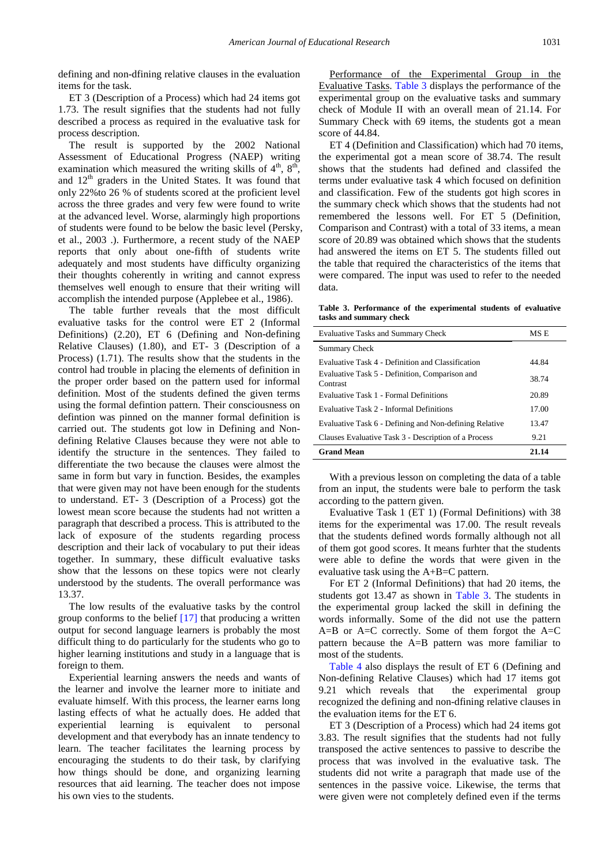defining and non-dfining relative clauses in the evaluation items for the task.

ET 3 (Description of a Process) which had 24 items got 1.73. The result signifies that the students had not fully described a process as required in the evaluative task for process description.

The result is supported by the 2002 National Assessment of Educational Progress (NAEP) writing examination which measured the writing skills of  $4<sup>th</sup>$ ,  $8<sup>th</sup>$ , and  $12<sup>th</sup>$  graders in the United States. It was found that only 22%to 26 % of students scored at the proficient level across the three grades and very few were found to write at the advanced level. Worse, alarmingly high proportions of students were found to be below the basic level (Persky, et al., 2003 .). Furthermore, a recent study of the NAEP reports that only about one-fifth of students write adequately and most students have difficulty organizing their thoughts coherently in writing and cannot express themselves well enough to ensure that their writing will accomplish the intended purpose (Applebee et al., 1986).

The table further reveals that the most difficult evaluative tasks for the control were ET 2 (Informal Definitions) (2.20), ET 6 (Defining and Non-defining Relative Clauses) (1.80), and ET- 3 (Description of a Process) (1.71). The results show that the students in the control had trouble in placing the elements of definition in the proper order based on the pattern used for informal definition. Most of the students defined the given terms using the formal defintion pattern. Their consciousness on defintion was pinned on the manner formal definition is carried out. The students got low in Defining and Nondefining Relative Clauses because they were not able to identify the structure in the sentences. They failed to differentiate the two because the clauses were almost the same in form but vary in function. Besides, the examples that were given may not have been enough for the students to understand. ET- 3 (Description of a Process) got the lowest mean score because the students had not written a paragraph that described a process. This is attributed to the lack of exposure of the students regarding process description and their lack of vocabulary to put their ideas together. In summary, these difficult evaluative tasks show that the lessons on these topics were not clearly understood by the students. The overall performance was 13.37.

The low results of the evaluative tasks by the control group conforms to the belief  $[17]$  that producing a written output for second language learners is probably the most difficult thing to do particularly for the students who go to higher learning institutions and study in a language that is foreign to them.

Experiential learning answers the needs and wants of the learner and involve the learner more to initiate and evaluate himself. With this process, the learner earns long lasting effects of what he actually does. He added that experiential learning is equivalent to personal development and that everybody has an innate tendency to learn. The teacher facilitates the learning process by encouraging the students to do their task, by clarifying how things should be done, and organizing learning resources that aid learning. The teacher does not impose his own vies to the students.

Performance of the Experimental Group in the Evaluative Tasks. [Table 3](#page-7-0) displays the performance of the experimental group on the evaluative tasks and summary check of Module II with an overall mean of 21.14. For Summary Check with 69 items, the students got a mean score of 44.84.

ET 4 (Definition and Classification) which had 70 items, the experimental got a mean score of 38.74. The result shows that the students had defined and classifed the terms under evaluative task 4 which focused on definition and classification. Few of the students got high scores in the summary check which shows that the students had not remembered the lessons well. For ET 5 (Definition, Comparison and Contrast) with a total of 33 items, a mean score of 20.89 was obtained which shows that the students had answered the items on ET 5. The students filled out the table that required the characteristics of the items that were compared. The input was used to refer to the needed data.

**Table 3. Performance of the experimental students of evaluative tasks and summary check**

<span id="page-7-0"></span>

| <b>Evaluative Tasks and Summary Check</b>                  | MS E  |
|------------------------------------------------------------|-------|
| Summary Check                                              |       |
| Evaluative Task 4 - Definition and Classification          | 44.84 |
| Evaluative Task 5 - Definition, Comparison and<br>Contrast | 38.74 |
| Evaluative Task 1 - Formal Definitions                     | 20.89 |
| Evaluative Task 2 - Informal Definitions                   | 17.00 |
| Evaluative Task 6 - Defining and Non-defining Relative     | 13.47 |
| Clauses Evaluative Task 3 - Description of a Process       | 9.21  |
| <b>Grand Mean</b>                                          | 21.14 |

With a previous lesson on completing the data of a table from an input, the students were bale to perform the task according to the pattern given.

Evaluative Task 1 (ET 1) (Formal Definitions) with 38 items for the experimental was 17.00. The result reveals that the students defined words formally although not all of them got good scores. It means furhter that the students were able to define the words that were given in the evaluative task using the A+B=C pattern.

For ET 2 (Informal Definitions) that had 20 items, the students got 13.47 as shown in [Table 3.](#page-7-0) The students in the experimental group lacked the skill in defining the words informally. Some of the did not use the pattern  $A=B$  or  $A=C$  correctly. Some of them forgot the  $A=C$ pattern because the A=B pattern was more familiar to most of the students.

[Table 4](#page-8-0) also displays the result of ET 6 (Defining and Non-defining Relative Clauses) which had 17 items got 9.21 which reveals that the experimental group recognized the defining and non-dfining relative clauses in the evaluation items for the ET 6.

ET 3 (Description of a Process) which had 24 items got 3.83. The result signifies that the students had not fully transposed the active sentences to passive to describe the process that was involved in the evaluative task. The students did not write a paragraph that made use of the sentences in the passive voice. Likewise, the terms that were given were not completely defined even if the terms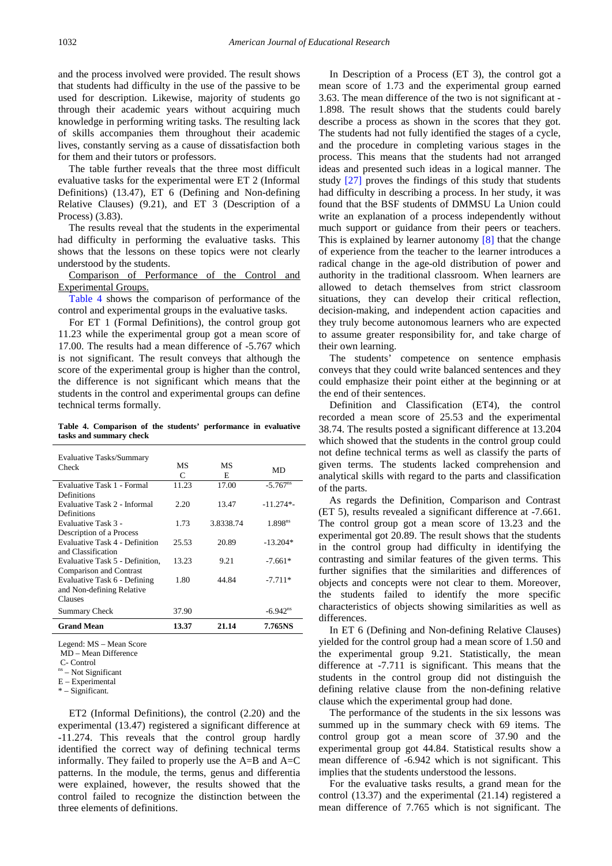and the process involved were provided. The result shows that students had difficulty in the use of the passive to be used for description. Likewise, majority of students go through their academic years without acquiring much knowledge in performing writing tasks. The resulting lack of skills accompanies them throughout their academic lives, constantly serving as a cause of dissatisfaction both for them and their tutors or professors.

The table further reveals that the three most difficult evaluative tasks for the experimental were ET 2 (Informal Definitions) (13.47), ET 6 (Defining and Non-defining Relative Clauses) (9.21), and ET 3 (Description of a Process) (3.83).

The results reveal that the students in the experimental had difficulty in performing the evaluative tasks. This shows that the lessons on these topics were not clearly understood by the students.

Comparison of Performance of the Control and Experimental Groups.

[Table 4](#page-8-0) shows the comparison of performance of the control and experimental groups in the evaluative tasks.

For ET 1 (Formal Definitions), the control group got 11.23 while the experimental group got a mean score of 17.00. The results had a mean difference of -5.767 which is not significant. The result conveys that although the score of the experimental group is higher than the control, the difference is not significant which means that the students in the control and experimental groups can define technical terms formally.

**Table 4. Comparison of the students' performance in evaluative tasks and summary check**

<span id="page-8-0"></span>

| <b>Evaluative Tasks/Summary</b><br>Check | MS<br>C | MS<br>E   | MD                     |
|------------------------------------------|---------|-----------|------------------------|
| Evaluative Task 1 - Formal               | 11.23   | 17.00     | $-5.767$ <sup>ns</sup> |
| Definitions                              |         |           |                        |
| Evaluative Task 2 - Informal             | 2.20    | 13.47     | $-11.274*$             |
| Definitions                              |         |           |                        |
| Evaluative Task 3 -                      | 1.73    | 3.8338.74 | 1.898 <sup>ns</sup>    |
| Description of a Process                 |         |           |                        |
| <b>Evaluative Task 4 - Definition</b>    | 25.53   | 20.89     | $-13.204*$             |
| and Classification                       |         |           |                        |
| Evaluative Task 5 - Definition,          | 13.23   | 9.21      | $-7.661*$              |
| Comparison and Contrast                  |         |           |                        |
| Evaluative Task 6 - Defining             | 1.80    | 44.84     | $-7.711*$              |
| and Non-defining Relative                |         |           |                        |
| Clauses                                  |         |           |                        |
| <b>Summary Check</b>                     | 37.90   |           | $-6.942$ <sup>ns</sup> |
| <b>Grand Mean</b>                        | 13.37   | 21.14     | 7.765NS                |

Legend: MS – Mean Score

MD – Mean Difference

E – Experimental

\* – Significant.

ET2 (Informal Definitions), the control (2.20) and the experimental (13.47) registered a significant difference at -11.274. This reveals that the control group hardly identified the correct way of defining technical terms informally. They failed to properly use the  $A=B$  and  $A=C$ patterns. In the module, the terms, genus and differentia were explained, however, the results showed that the control failed to recognize the distinction between the three elements of definitions.

In Description of a Process (ET 3), the control got a mean score of 1.73 and the experimental group earned 3.63. The mean difference of the two is not significant at - 1.898. The result shows that the students could barely describe a process as shown in the scores that they got. The students had not fully identified the stages of a cycle, and the procedure in completing various stages in the process. This means that the students had not arranged ideas and presented such ideas in a logical manner. The study [\[27\]](#page-10-8) proves the findings of this study that students had difficulty in describing a process. In her study, it was found that the BSF students of DMMSU La Union could write an explanation of a process independently without much support or guidance from their peers or teachers. This is explained by learner autonomy [\[8\]](#page-9-7) that the change of experience from the teacher to the learner introduces a radical change in the age-old distribution of power and authority in the traditional classroom. When learners are allowed to detach themselves from strict classroom situations, they can develop their critical reflection, decision-making, and independent action capacities and they truly become autonomous learners who are expected to assume greater responsibility for, and take charge of their own learning.

The students' competence on sentence emphasis conveys that they could write balanced sentences and they could emphasize their point either at the beginning or at the end of their sentences.

Definition and Classification (ET4), the control recorded a mean score of 25.53 and the experimental 38.74. The results posted a significant difference at 13.204 which showed that the students in the control group could not define technical terms as well as classify the parts of given terms. The students lacked comprehension and analytical skills with regard to the parts and classification of the parts.

As regards the Definition, Comparison and Contrast (ET 5), results revealed a significant difference at -7.661. The control group got a mean score of 13.23 and the experimental got 20.89. The result shows that the students in the control group had difficulty in identifying the contrasting and similar features of the given terms. This further signifies that the similarities and differences of objects and concepts were not clear to them. Moreover, the students failed to identify the more specific characteristics of objects showing similarities as well as differences.

In ET 6 (Defining and Non-defining Relative Clauses) yielded for the control group had a mean score of 1.50 and the experimental group 9.21. Statistically, the mean difference at -7.711 is significant. This means that the students in the control group did not distinguish the defining relative clause from the non-defining relative clause which the experimental group had done.

The performance of the students in the six lessons was summed up in the summary check with 69 items. The control group got a mean score of 37.90 and the experimental group got 44.84. Statistical results show a mean difference of -6.942 which is not significant. This implies that the students understood the lessons.

For the evaluative tasks results, a grand mean for the control (13.37) and the experimental (21.14) registered a mean difference of 7.765 which is not significant. The

 $C-$  Control<br>  $n<sup>s</sup>$  – Not Significant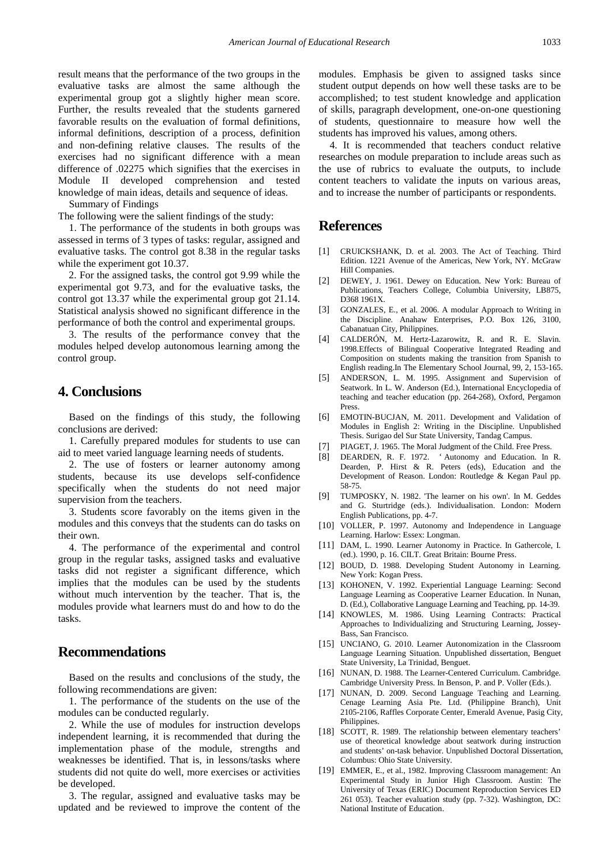result means that the performance of the two groups in the evaluative tasks are almost the same although the experimental group got a slightly higher mean score. Further, the results revealed that the students garnered favorable results on the evaluation of formal definitions, informal definitions, description of a process, definition and non-defining relative clauses. The results of the exercises had no significant difference with a mean difference of .02275 which signifies that the exercises in Module II developed comprehension and tested knowledge of main ideas, details and sequence of ideas.

Summary of Findings

The following were the salient findings of the study:

1. The performance of the students in both groups was assessed in terms of 3 types of tasks: regular, assigned and evaluative tasks. The control got 8.38 in the regular tasks while the experiment got 10.37.

2. For the assigned tasks, the control got 9.99 while the experimental got 9.73, and for the evaluative tasks, the control got 13.37 while the experimental group got 21.14. Statistical analysis showed no significant difference in the performance of both the control and experimental groups.

3. The results of the performance convey that the modules helped develop autonomous learning among the control group.

# **4. Conclusions**

Based on the findings of this study, the following conclusions are derived:

1. Carefully prepared modules for students to use can aid to meet varied language learning needs of students.

2. The use of fosters or learner autonomy among students, because its use develops self-confidence specifically when the students do not need major supervision from the teachers.

3. Students score favorably on the items given in the modules and this conveys that the students can do tasks on their own.

4. The performance of the experimental and control group in the regular tasks, assigned tasks and evaluative tasks did not register a significant difference, which implies that the modules can be used by the students without much intervention by the teacher. That is, the modules provide what learners must do and how to do the tasks.

# **Recommendations**

Based on the results and conclusions of the study, the following recommendations are given:

1. The performance of the students on the use of the modules can be conducted regularly.

2. While the use of modules for instruction develops independent learning, it is recommended that during the implementation phase of the module, strengths and weaknesses be identified. That is, in lessons/tasks where students did not quite do well, more exercises or activities be developed.

3. The regular, assigned and evaluative tasks may be updated and be reviewed to improve the content of the modules. Emphasis be given to assigned tasks since student output depends on how well these tasks are to be accomplished; to test student knowledge and application of skills, paragraph development, one-on-one questioning of students, questionnaire to measure how well the students has improved his values, among others.

4. It is recommended that teachers conduct relative researches on module preparation to include areas such as the use of rubrics to evaluate the outputs, to include content teachers to validate the inputs on various areas, and to increase the number of participants or respondents.

# **References**

- <span id="page-9-0"></span>[1] CRUICKSHANK, D. et al. 2003. The Act of Teaching. Third Edition. 1221 Avenue of the Americas, New York, NY. McGraw Hill Companies.
- <span id="page-9-1"></span>[2] DEWEY, J. 1961. Dewey on Education. New York: Bureau of Publications, Teachers College, Columbia University, LB875, D368 1961X.
- <span id="page-9-2"></span>[3] GONZALES, E., et al. 2006. A modular Approach to Writing in the Discipline. Anahaw Enterprises, P.O. Box 126, 3100, Cabanatuan City, Philippines.
- <span id="page-9-3"></span>[4] CALDERÓN, M. Hertz-Lazarowitz, R. and R. E. Slavin. 1998.Effects of Bilingual Cooperative Integrated Reading and Composition on students making the transition from Spanish to English reading.In The Elementary School Journal, 99, 2, 153-165.
- <span id="page-9-4"></span>[5] ANDERSON, L. M. 1995. Assignment and Supervision of Seatwork. In L. W. Anderson (Ed.), International Encyclopedia of teaching and teacher education (pp. 264-268), Oxford, Pergamon Press.
- <span id="page-9-5"></span>[6] EMOTIN-BUCJAN, M. 2011. Development and Validation of Modules in English 2: Writing in the Discipline. Unpublished Thesis. Surigao del Sur State University, Tandag Campus.
- <span id="page-9-6"></span>[7] PIAGET, J. 1965. The Moral Judgment of the Child. Free Press.
- <span id="page-9-7"></span>[8] DEARDEN, R. F. 1972. ' Autonomy and Education. In R. Dearden, P. Hirst & R. Peters (eds), Education and the Development of Reason. London: Routledge & Kegan Paul pp. 58-75.
- <span id="page-9-8"></span>[9] TUMPOSKY, N. 1982. 'The learner on his own'. In M. Geddes and G. Sturtridge (eds.). Individualisation. London: Modern English Publications, pp. 4-7.
- <span id="page-9-9"></span>[10] VOLLER, P. 1997. Autonomy and Independence in Language Learning. Harlow: Essex: Longman.
- <span id="page-9-10"></span>[11] DAM, L. 1990. Learner Autonomy in Practice. In Gathercole, I. (ed.). 1990, p. 16. CILT. Great Britain: Bourne Press.
- <span id="page-9-11"></span>[12] BOUD, D. 1988. Developing Student Autonomy in Learning. New York: Kogan Press.
- [13] KOHONEN, V. 1992. Experiential Language Learning: Second Language Learning as Cooperative Learner Education. In Nunan, D. (Ed.), Collaborative Language Learning and Teaching, pp. 14-39.
- <span id="page-9-16"></span>[14] KNOWLES, M. 1986. Using Learning Contracts: Practical Approaches to Individualizing and Structuring Learning, Jossey-Bass, San Francisco.
- <span id="page-9-12"></span>[15] UNCIANO, G. 2010. Learner Autonomization in the Classroom Language Learning Situation. Unpublished dissertation, Benguet State University, La Trinidad, Benguet.
- <span id="page-9-13"></span>[16] NUNAN, D. 1988. The Learner-Centered Curriculum. Cambridge. Cambridge University Press. In Benson, P. and P. Voller (Eds.).
- <span id="page-9-14"></span>[17] NUNAN, D. 2009. Second Language Teaching and Learning. Cenage Learning Asia Pte. Ltd. (Philippine Branch), Unit 2105-2106, Raffles Corporate Center, Emerald Avenue, Pasig City, Philippines.
- [18] SCOTT, R. 1989. The relationship between elementary teachers' use of theoretical knowledge about seatwork during instruction and students' on-task behavior. Unpublished Doctoral Dissertation, Columbus: Ohio State University.
- <span id="page-9-15"></span>[19] EMMER, E., et al., 1982. Improving Classroom management: An Experimental Study in Junior High Classroom. Austin: The University of Texas (ERIC) Document Reproduction Services ED 261 053). Teacher evaluation study (pp. 7-32). Washington, DC: National Institute of Education.